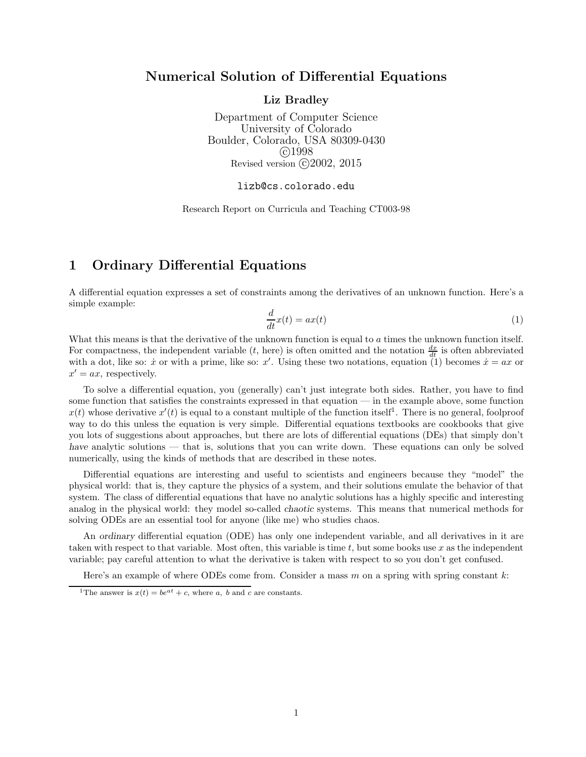### Numerical Solution of Differential Equations

Liz Bradley

Department of Computer Science University of Colorado Boulder, Colorado, USA 80309-0430 c 1998 Revised version  $\odot$  2002, 2015

lizb@cs.colorado.edu

Research Report on Curricula and Teaching CT003-98

# 1 Ordinary Differential Equations

A differential equation expresses a set of constraints among the derivatives of an unknown function. Here's a simple example:

$$
\frac{d}{dt}x(t) = ax(t) \tag{1}
$$

What this means is that the derivative of the unknown function is equal to a times the unknown function itself. For compactness, the independent variable  $(t, \text{ here})$  is often omitted and the notation  $\frac{dx}{dt}$  is often abbreviated with a dot, like so:  $\dot{x}$  or with a prime, like so:  $x'$ . Using these two notations, equation (1) becomes  $\dot{x} = ax$  or  $x' = ax$ , respectively.

To solve a differential equation, you (generally) can't just integrate both sides. Rather, you have to find some function that satisfies the constraints expressed in that equation — in the example above, some function  $x(t)$  whose derivative  $x'(t)$  is equal to a constant multiple of the function itself<sup>1</sup>. There is no general, foolproof way to do this unless the equation is very simple. Differential equations textbooks are cookbooks that give you lots of suggestions about approaches, but there are lots of differential equations (DEs) that simply don't have analytic solutions — that is, solutions that you can write down. These equations can only be solved numerically, using the kinds of methods that are described in these notes.

Differential equations are interesting and useful to scientists and engineers because they "model" the physical world: that is, they capture the physics of a system, and their solutions emulate the behavior of that system. The class of differential equations that have no analytic solutions has a highly specific and interesting analog in the physical world: they model so-called chaotic systems. This means that numerical methods for solving ODEs are an essential tool for anyone (like me) who studies chaos.

An ordinary differential equation (ODE) has only one independent variable, and all derivatives in it are taken with respect to that variable. Most often, this variable is time  $t$ , but some books use  $x$  as the independent variable; pay careful attention to what the derivative is taken with respect to so you don't get confused.

Here's an example of where ODEs come from. Consider a mass  $m$  on a spring with spring constant  $k$ :

<sup>&</sup>lt;sup>1</sup>The answer is  $x(t) = be^{at} + c$ , where a, b and c are constants.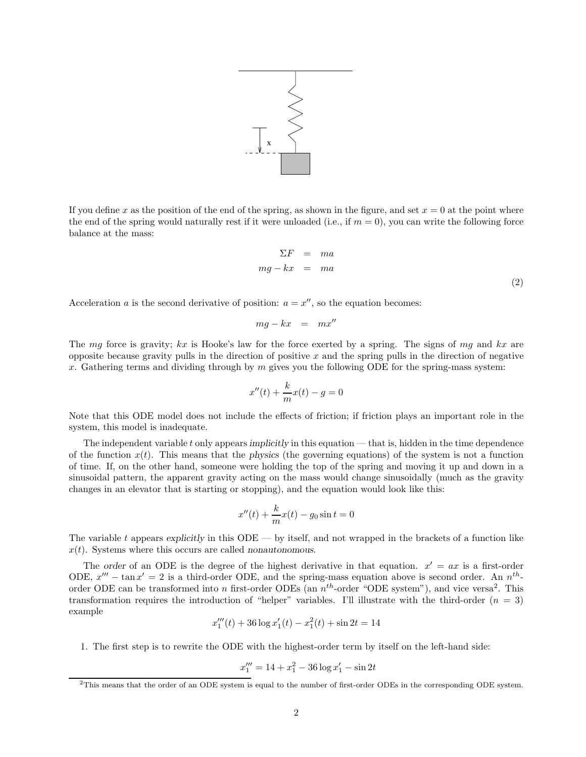

If you define x as the position of the end of the spring, as shown in the figure, and set  $x = 0$  at the point where the end of the spring would naturally rest if it were unloaded (i.e., if  $m = 0$ ), you can write the following force balance at the mass:

$$
\Sigma F = ma
$$
  

$$
mg - kx = ma
$$
 (2)

Acceleration a is the second derivative of position:  $a = x''$ , so the equation becomes:

$$
mg - kx = mx''
$$

The mg force is gravity; kx is Hooke's law for the force exerted by a spring. The signs of mg and kx are opposite because gravity pulls in the direction of positive  $x$  and the spring pulls in the direction of negative x. Gathering terms and dividing through by  $m$  gives you the following ODE for the spring-mass system:

$$
x''(t) + \frac{k}{m}x(t) - g = 0
$$

Note that this ODE model does not include the effects of friction; if friction plays an important role in the system, this model is inadequate.

The independent variable t only appears implicitly in this equation — that is, hidden in the time dependence of the function  $x(t)$ . This means that the physics (the governing equations) of the system is not a function of time. If, on the other hand, someone were holding the top of the spring and moving it up and down in a sinusoidal pattern, the apparent gravity acting on the mass would change sinusoidally (much as the gravity changes in an elevator that is starting or stopping), and the equation would look like this:

$$
x''(t) + \frac{k}{m}x(t) - g_0 \sin t = 0
$$

The variable t appears explicitly in this  $ODE - by$  itself, and not wrapped in the brackets of a function like  $x(t)$ . Systems where this occurs are called nonautonomous.

The order of an ODE is the degree of the highest derivative in that equation.  $x' = ax$  is a first-order ODE,  $x''' - \tan x' = 2$  is a third-order ODE, and the spring-mass equation above is second order. An  $n^{th}$ order ODE can be transformed into n first-order ODEs (an  $n^{th}$ -order "ODE system"), and vice versa<sup>2</sup>. This transformation requires the introduction of "helper" variables. I'll illustrate with the third-order  $(n = 3)$ example

$$
x_1'''(t) + 36\log x_1'(t) - x_1^{2}(t) + \sin 2t = 14
$$

1. The first step is to rewrite the ODE with the highest-order term by itself on the left-hand side:

$$
x_1''' = 14 + x_1^2 - 36\log x_1' - \sin 2t
$$

 $2$ This means that the order of an ODE system is equal to the number of first-order ODEs in the corresponding ODE system.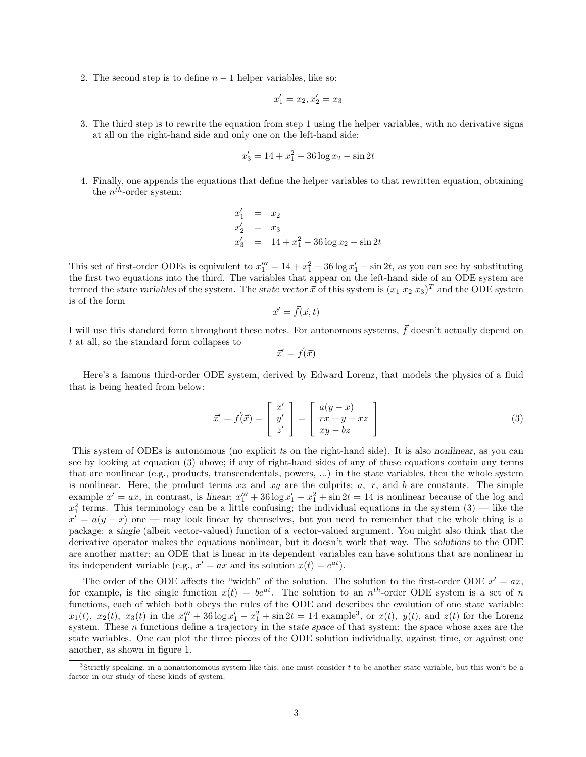2. The second step is to define  $n-1$  helper variables, like so:

$$
x_1' = x_2, x_2' = x_3
$$

3. The third step is to rewrite the equation from step 1 using the helper variables, with no derivative signs at all on the right-hand side and only one on the left-hand side:

$$
x_3' = 14 + x_1^2 - 36\log x_2 - \sin 2t
$$

4. Finally, one appends the equations that define the helper variables to that rewritten equation, obtaining the  $n^{th}$ -order system:

$$
\begin{array}{rcl}\nx'_1 &=& x_2\\ \nx'_2 &=& x_3\\ \nx'_3 &=& 14 + x_1^2 - 36 \log x_2 - \sin 2t\n\end{array}
$$

This set of first-order ODEs is equivalent to  $x_1''' = 14 + x_1^2 - 36 \log x_1' - \sin 2t$ , as you can see by substituting the first two equations into the third. The variables that appear on the left-hand side of an ODE system are termed the state variables of the system. The state vector  $\vec{x}$  of this system is  $(x_1 x_2 x_3)^T$  and the ODE system is of the form

$$
\vec{x}' = \vec{f}(\vec{x},t)
$$

I will use this standard form throughout these notes. For autonomous systems,  $\vec{f}$  doesn't actually depend on t at all, so the standard form collapses to

$$
\vec{x}' = \vec{f}(\vec{x})
$$

Here's a famous third-order ODE system, derived by Edward Lorenz, that models the physics of a fluid that is being heated from below:

$$
\vec{x}' = \vec{f}(\vec{x}) = \begin{bmatrix} x' \\ y' \\ z' \end{bmatrix} = \begin{bmatrix} a(y-x) \\ rx - y - xz \\ xy - bz \end{bmatrix}
$$
\n(3)

This system of ODEs is autonomous (no explicit ts on the right-hand side). It is also nonlinear, as you can see by looking at equation (3) above; if any of right-hand sides of any of these equations contain any terms that are nonlinear (e.g., products, transcendentals, powers, ...) in the state variables, then the whole system is nonlinear. Here, the product terms  $xz$  and  $xy$  are the culprits;  $a, r$ , and  $b$  are constants. The simple example  $x' = ax$ , in contrast, is linear;  $x_1''' + 36 \log x_1' - x_1^2 + \sin 2t = 14$  is nonlinear because of the log and  $x_1^2$  terms. This terminology can be a little confusing; the individual equations in the system  $(3)$  — like the  $x' = a(y - x)$  one — may look linear by themselves, but you need to remember that the whole thing is a package: a single (albeit vector-valued) function of a vector-valued argument. You might also think that the derivative operator makes the equations nonlinear, but it doesn't work that way. The solutions to the ODE are another matter: an ODE that is linear in its dependent variables can have solutions that are nonlinear in its independent variable (e.g.,  $x' = ax$  and its solution  $x(t) = e^{at}$ ).

The order of the ODE affects the "width" of the solution. The solution to the first-order ODE  $x' = ax$ , for example, is the single function  $x(t) = be^{at}$ . The solution to an  $n^{th}$ -order ODE system is a set of n functions, each of which both obeys the rules of the ODE and describes the evolution of one state variable:  $x_1(t)$ ,  $x_2(t)$ ,  $x_3(t)$  in the  $x_1''' + 36 \log x_1' - x_1^2 + \sin 2t = 14$  example<sup>3</sup>, or  $x(t)$ ,  $y(t)$ , and  $z(t)$  for the Lorenz system. These *n* functions define a trajectory in the state space of that system: the space whose axes are the state variables. One can plot the three pieces of the ODE solution individually, against time, or against one another, as shown in figure 1.

<sup>&</sup>lt;sup>3</sup>Strictly speaking, in a nonautonomous system like this, one must consider t to be another state variable, but this won't be a factor in our study of these kinds of system.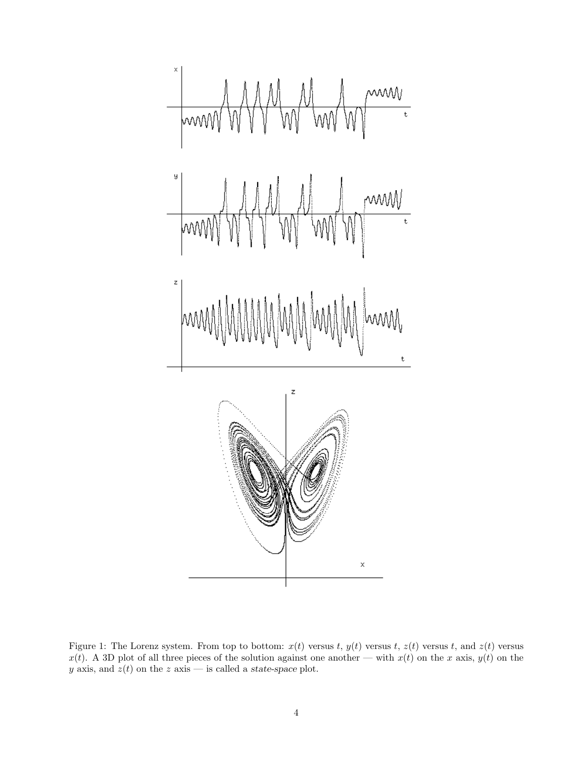

Figure 1: The Lorenz system. From top to bottom:  $x(t)$  versus t,  $y(t)$  versus t,  $z(t)$  versus t, and  $z(t)$  versus  $x(t)$ . A 3D plot of all three pieces of the solution against one another — with  $x(t)$  on the x axis,  $y(t)$  on the y axis, and  $z(t)$  on the z axis — is called a state-space plot.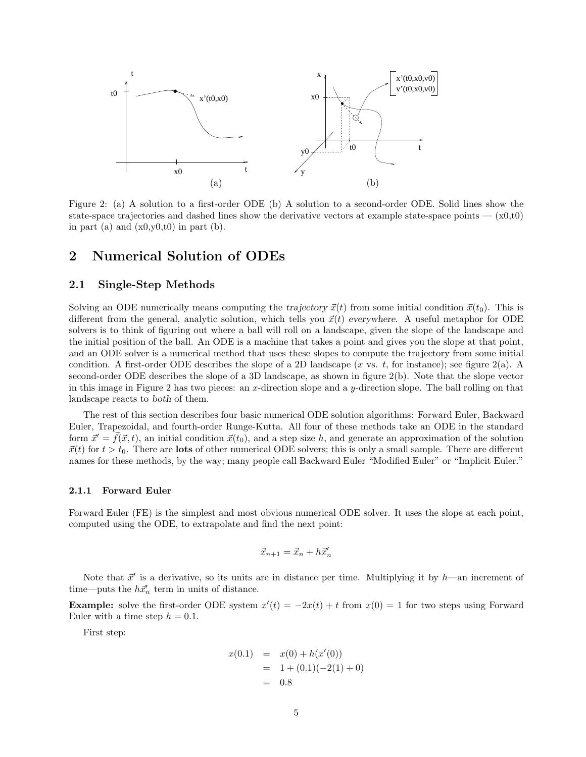

Figure 2: (a) A solution to a first-order ODE (b) A solution to a second-order ODE. Solid lines show the state-space trajectories and dashed lines show the derivative vectors at example state-space points  $- (x0,t0)$ in part (a) and  $(x0,y0,t0)$  in part (b).

## 2 Numerical Solution of ODEs

#### 2.1 Single-Step Methods

Solving an ODE numerically means computing the trajectory  $\vec{x}(t)$  from some initial condition  $\vec{x}(t_0)$ . This is different from the general, analytic solution, which tells you  $\vec{x}(t)$  everywhere. A useful metaphor for ODE solvers is to think of figuring out where a ball will roll on a landscape, given the slope of the landscape and the initial position of the ball. An ODE is a machine that takes a point and gives you the slope at that point, and an ODE solver is a numerical method that uses these slopes to compute the trajectory from some initial condition. A first-order ODE describes the slope of a 2D landscape (x vs. t, for instance); see figure  $2(a)$ . A second-order ODE describes the slope of a 3D landscape, as shown in figure 2(b). Note that the slope vector in this image in Figure 2 has two pieces: an x-direction slope and a y-direction slope. The ball rolling on that landscape reacts to both of them.

The rest of this section describes four basic numerical ODE solution algorithms: Forward Euler, Backward Euler, Trapezoidal, and fourth-order Runge-Kutta. All four of these methods take an ODE in the standard form  $\vec{x}' = f(\vec{x}, t)$ , an initial condition  $\vec{x}(t_0)$ , and a step size h, and generate an approximation of the solution  $\vec{x}(t)$  for  $t > t_0$ . There are **lots** of other numerical ODE solvers; this is only a small sample. There are different names for these methods, by the way; many people call Backward Euler "Modified Euler" or "Implicit Euler."

#### 2.1.1 Forward Euler

Forward Euler (FE) is the simplest and most obvious numerical ODE solver. It uses the slope at each point, computed using the ODE, to extrapolate and find the next point:

$$
\vec{x}_{n+1} = \vec{x}_n + h\vec{x}'_n
$$

Note that  $\vec{x}'$  is a derivative, so its units are in distance per time. Multiplying it by h—an increment of time—puts the  $h\vec{x}'_n$  term in units of distance.

**Example:** solve the first-order ODE system  $x'(t) = -2x(t) + t$  from  $x(0) = 1$  for two steps using Forward Euler with a time step  $h = 0.1$ .

First step:

$$
x(0.1) = x(0) + h(x'(0))
$$
  
= 1 + (0.1)(-2(1) + 0)  
= 0.8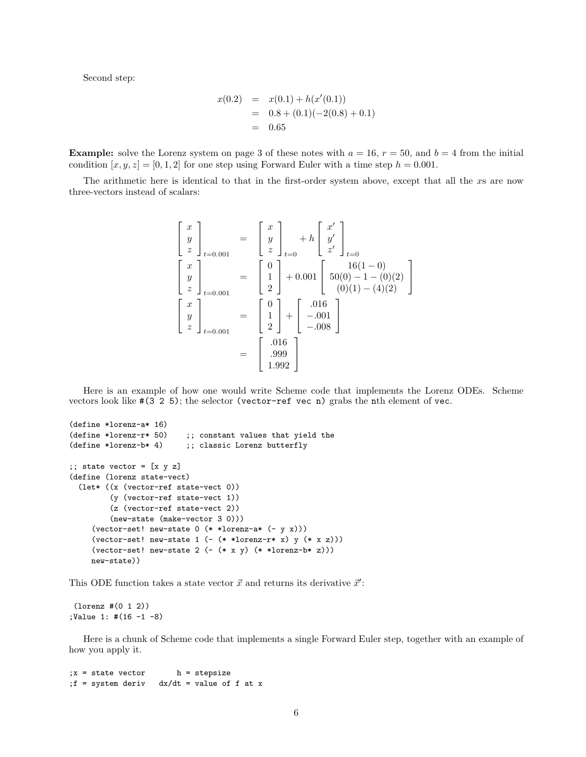Second step:

$$
x(0.2) = x(0.1) + h(x'(0.1))
$$
  
= 0.8 + (0.1)(-2(0.8) + 0.1)  
= 0.65

**Example:** solve the Lorenz system on page 3 of these notes with  $a = 16$ ,  $r = 50$ , and  $b = 4$  from the initial condition  $[x, y, z] = [0, 1, 2]$  for one step using Forward Euler with a time step  $h = 0.001$ .

The arithmetic here is identical to that in the first-order system above, except that all the xs are now three-vectors instead of scalars:

$$
\begin{bmatrix} x \ y \ z \end{bmatrix}_{t=0.001} = \begin{bmatrix} x \ y \ z \end{bmatrix}_{t=0} + h \begin{bmatrix} x' \ y' \ z' \end{bmatrix}_{t=0}
$$

$$
\begin{bmatrix} x \ y \ z \end{bmatrix}_{t=0.001} = \begin{bmatrix} 0 \ 1 \ 2 \end{bmatrix} + 0.001 \begin{bmatrix} 16(1-0) \\ 50(0) - 1 - (0)(2) \\ (0)(1) - (4)(2) \end{bmatrix}
$$

$$
\begin{bmatrix} x \ y \ z \end{bmatrix}_{t=0.001} = \begin{bmatrix} 0 \\ 1 \\ 2 \end{bmatrix} + \begin{bmatrix} .016 \\ -.001 \\ -.008 \end{bmatrix}
$$

$$
= \begin{bmatrix} .016 \\ .999 \\ 1.992 \end{bmatrix}
$$

Here is an example of how one would write Scheme code that implements the Lorenz ODEs. Scheme vectors look like #(3 2 5); the selector (vector-ref vec n) grabs the nth element of vec.

```
(define *lorenz-a* 16)
(define *lorenz-r* 50) ;; constant values that yield the
(define *lorenz-b* 4) ;; classic Lorenz butterfly
;; state vector = [x \ y \ z](define (lorenz state-vect)
  (let* ((x (vector-ref state-vect 0))
         (y (vector-ref state-vect 1))
         (z (vector-ref state-vect 2))
         (new-state (make-vector 3 0)))
     (vector-set! new-state 0 (* *lorenz-a* (- y x)))
     (vector-set! new-state 1 (- (* *lorenz-r* x) y (* x z)))(vector-set! new-state 2 (- (* x y) (* *lorenz-b * z)))new-state))
```
This ODE function takes a state vector  $\vec{x}$  and returns its derivative  $\vec{x}'$ :

(lorenz #(0 1 2)) ;Value 1: #(16 -1 -8)

Here is a chunk of Scheme code that implements a single Forward Euler step, together with an example of how you apply it.

 $;x = state vector$  h = stepsize ;f = system deriv dx/dt = value of f at x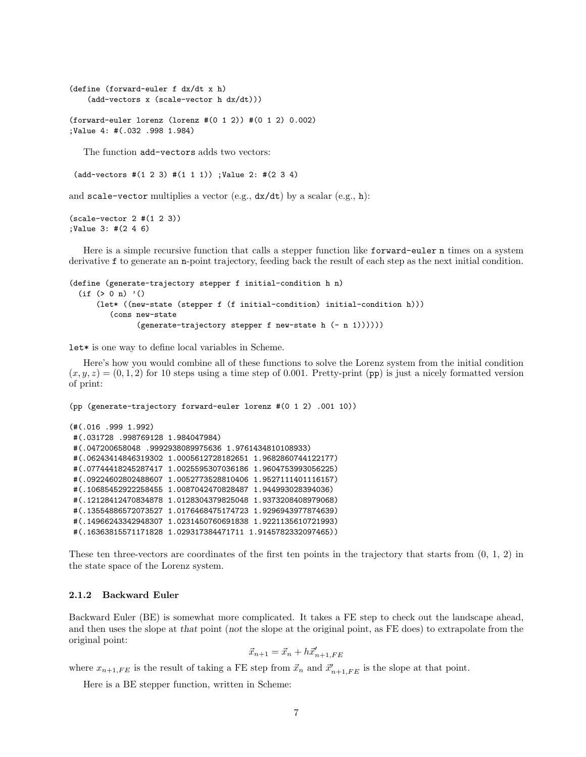```
(define (forward-euler f dx/dt x h)
    (add-vectors x (scale-vector h dx/dt)))
```
(forward-euler lorenz (lorenz #(0 1 2)) #(0 1 2) 0.002) ;Value 4: #(.032 .998 1.984)

The function add-vectors adds two vectors:

 $(add- vectors #(1 2 3) #(1 1 1))$ ; Value 2: # $(2 3 4)$ 

and scale-vector multiplies a vector (e.g.,  $dx/dt$ ) by a scalar (e.g., h):

```
(scale-vector 2 #(1 2 3))
;Value 3: #(2 4 6)
```
Here is a simple recursive function that calls a stepper function like forward-euler n times on a system derivative f to generate an n-point trajectory, feeding back the result of each step as the next initial condition.

```
(define (generate-trajectory stepper f initial-condition h n)
  (if ( > 0 n) '()(let* ((new-state (stepper f (f initial-condition) initial-condition h)))
         (cons new-state
               (generate-trajectory stepper f new-state h (- n 1))))))
```
let\* is one way to define local variables in Scheme.

Here's how you would combine all of these functions to solve the Lorenz system from the initial condition  $(x, y, z) = (0, 1, 2)$  for 10 steps using a time step of 0.001. Pretty-print (pp) is just a nicely formatted version of print:

```
(pp (generate-trajectory forward-euler lorenz #(0 1 2) .001 10))
(#(.016 .999 1.992)
#(.031728 .998769128 1.984047984)
#(.047200658048 .9992938089975636 1.9761434810108933)
#(.06243414846319302 1.0005612728182651 1.9682860744122177)
#(.07744418245287417 1.0025595307036186 1.9604753993056225)
#(.09224602802488607 1.0052773528810406 1.9527111401116157)
#(.10685452922258455 1.0087042470828487 1.944993028394036)
#(.12128412470834878 1.0128304379825048 1.9373208408979068)
#(.13554886572073527 1.0176468475174723 1.9296943977874639)
#(.14966243342948307 1.0231450760691838 1.9221135610721993)
#(.16363815571171828 1.029317384471711 1.9145782332097465))
```
These ten three-vectors are coordinates of the first ten points in the trajectory that starts from (0, 1, 2) in the state space of the Lorenz system.

#### 2.1.2 Backward Euler

Backward Euler (BE) is somewhat more complicated. It takes a FE step to check out the landscape ahead, and then uses the slope at that point (not the slope at the original point, as FE does) to extrapolate from the original point:

$$
\vec{x}_{n+1} = \vec{x}_n + h\vec{x}'_{n+1,FE}
$$

where  $x_{n+1,FE}$  is the result of taking a FE step from  $\vec{x}_n$  and  $\vec{x}'_{n+1,FE}$  is the slope at that point.

Here is a BE stepper function, written in Scheme: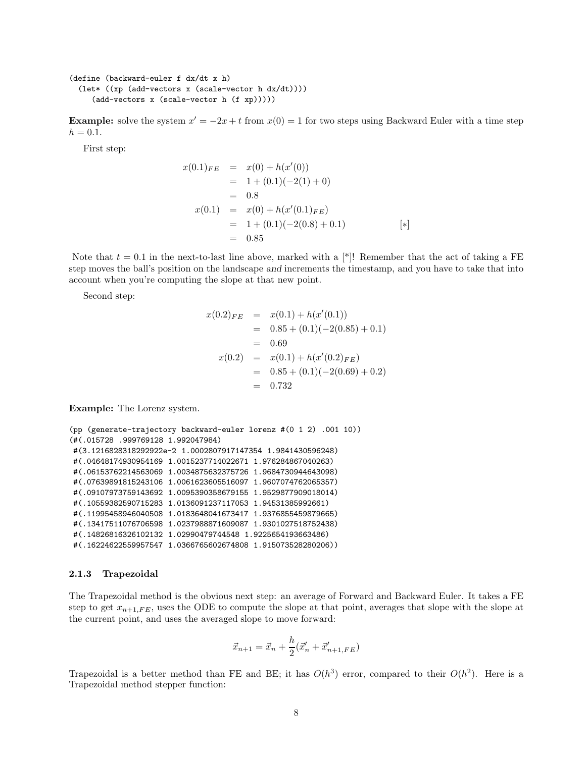```
(define (backward-euler f dx/dt x h)
  (let* ((xp (add-vectors x (scale-vector h dx/dt))))
     (add-vectors x (scale-vector h (f xp)))))
```
**Example:** solve the system  $x' = -2x + t$  from  $x(0) = 1$  for two steps using Backward Euler with a time step  $h = 0.1.$ 

First step:

$$
x(0.1)_{FE} = x(0) + h(x'(0))
$$
  
= 1 + (0.1)(-2(1) + 0)  
= 0.8  

$$
x(0.1) = x(0) + h(x'(0.1)_{FE})
$$
  
= 1 + (0.1)(-2(0.8) + 0.1)  
= 0.85 [\*)

Note that  $t = 0.1$  in the next-to-last line above, marked with a [\*]! Remember that the act of taking a FE step moves the ball's position on the landscape and increments the timestamp, and you have to take that into account when you're computing the slope at that new point.

Second step:

$$
x(0.2)_{FE} = x(0.1) + h(x'(0.1))
$$
  
= 0.85 + (0.1)(-2(0.85) + 0.1)  
= 0.69  

$$
x(0.2) = x(0.1) + h(x'(0.2)_{FE})
$$
  
= 0.85 + (0.1)(-2(0.69) + 0.2)  
= 0.732

Example: The Lorenz system.

```
(pp (generate-trajectory backward-euler lorenz #(0 1 2) .001 10))
(#(.015728 .999769128 1.992047984)
#(3.1216828318292922e-2 1.0002807917147354 1.9841430596248)
#(.04648174930954169 1.0015237714022671 1.976284867040263)
#(.06153762214563069 1.0034875632375726 1.9684730944643098)
#(.07639891815243106 1.0061623605516097 1.9607074762065357)
#(.09107973759143692 1.0095390358679155 1.9529877909018014)
#(.10559382590715283 1.0136091237117053 1.94531385992661)
#(.11995458946040508 1.0183648041673417 1.9376855459879665)
#(.13417511076706598 1.0237988871609087 1.9301027518752438)
#(.14826816326102132 1.02990479744548 1.9225654193663486)
#(.16224622559957547 1.0366765602674808 1.915073528280206))
```
#### 2.1.3 Trapezoidal

The Trapezoidal method is the obvious next step: an average of Forward and Backward Euler. It takes a FE step to get  $x_{n+1,FE}$ , uses the ODE to compute the slope at that point, averages that slope with the slope at the current point, and uses the averaged slope to move forward:

$$
\vec{x}_{n+1} = \vec{x}_n + \frac{h}{2}(\vec{x}'_n + \vec{x}'_{n+1, FE})
$$

Trapezoidal is a better method than FE and BE; it has  $O(h^3)$  error, compared to their  $O(h^2)$ . Here is a Trapezoidal method stepper function: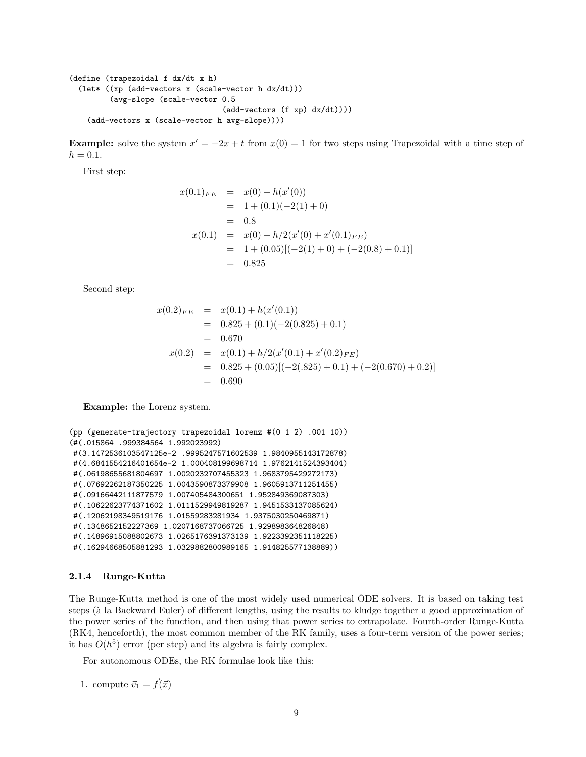```
(define (trapezoidal f dx/dt x h)
  (let* ((xp (add-vectors x (scale-vector h dx/dt)))
         (avg-slope (scale-vector 0.5
                                  (add-vectors (f xp) dx/dt))))
    (add-vectors x (scale-vector h avg-slope))))
```
**Example:** solve the system  $x' = -2x + t$  from  $x(0) = 1$  for two steps using Trapezoidal with a time step of  $h = 0.1.$ 

First step:

$$
x(0.1)_{FE} = x(0) + h(x'(0))
$$
  
= 1 + (0.1)(-2(1) + 0)  
= 0.8  

$$
x(0.1) = x(0) + h/2(x'(0) + x'(0.1)_{FE})
$$
  
= 1 + (0.05)[(-2(1) + 0) + (-2(0.8) + 0.1)]  
= 0.825

Second step:

$$
x(0.2)_{FE} = x(0.1) + h(x'(0.1))
$$
  
= 0.825 + (0.1)(-2(0.825) + 0.1)  
= 0.670  

$$
x(0.2) = x(0.1) + h/2(x'(0.1) + x'(0.2)_{FE})
$$
  
= 0.825 + (0.05)[(-2(.825) + 0.1) + (-2(0.670) + 0.2)]  
= 0.690

Example: the Lorenz system.

```
(pp (generate-trajectory trapezoidal lorenz #(0 1 2) .001 10))
(#(.015864 .999384564 1.992023992)
#(3.1472536103547125e-2 .9995247571602539 1.9840955143172878)
#(4.6841554216401654e-2 1.000408199698714 1.9762141524393404)
#(.06198655681804697 1.0020232707455323 1.9683795429272173)
#(.07692262187350225 1.0043590873379908 1.9605913711251455)
#(.09166442111877579 1.007405484300651 1.952849369087303)
#(.10622623774371602 1.0111529949819287 1.9451533137085624)
#(.12062198349519176 1.01559283281934 1.9375030250469871)
#(.1348652152227369 1.0207168737066725 1.929898364826848)
#(.14896915088802673 1.0265176391373139 1.9223392351118225)
#(.16294668505881293 1.0329882800989165 1.914825577138889))
```
#### 2.1.4 Runge-Kutta

The Runge-Kutta method is one of the most widely used numerical ODE solvers. It is based on taking test steps (à la Backward Euler) of different lengths, using the results to kludge together a good approximation of the power series of the function, and then using that power series to extrapolate. Fourth-order Runge-Kutta (RK4, henceforth), the most common member of the RK family, uses a four-term version of the power series; it has  $O(h^5)$  error (per step) and its algebra is fairly complex.

For autonomous ODEs, the RK formulae look like this:

1. compute  $\vec{v}_1 = \vec{f}(\vec{x})$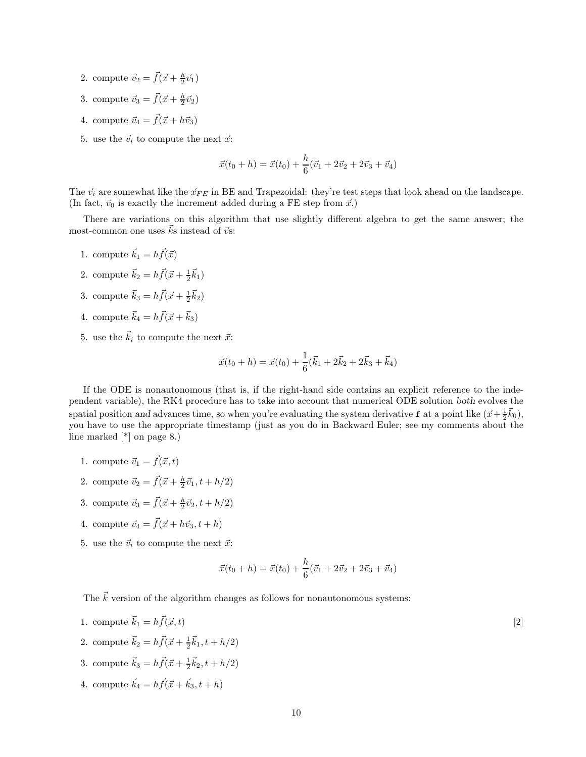- 2. compute  $\vec{v}_2 = \vec{f}(\vec{x} + \frac{h}{2}\vec{v}_1)$
- 3. compute  $\vec{v}_3 = \vec{f}(\vec{x} + \frac{h}{2}\vec{v}_2)$
- 4. compute  $\vec{v}_4 = \vec{f}(\vec{x} + h\vec{v}_3)$
- 5. use the  $\vec{v}_i$  to compute the next  $\vec{x}$ :

$$
\vec{x}(t_0 + h) = \vec{x}(t_0) + \frac{h}{6}(\vec{v}_1 + 2\vec{v}_2 + 2\vec{v}_3 + \vec{v}_4)
$$

The  $\vec{v}_i$  are somewhat like the  $\vec{x}_{FE}$  in BE and Trapezoidal: they're test steps that look ahead on the landscape. (In fact,  $\vec{v}_0$  is exactly the increment added during a FE step from  $\vec{x}$ .)

There are variations on this algorithm that use slightly different algebra to get the same answer; the most-common one uses  $\vec{k}$ s instead of  $\vec{v}$ s:

- 1. compute  $\vec{k}_1 = h\vec{f}(\vec{x})$
- 2. compute  $\vec{k}_2 = h \vec{f}(\vec{x} + \frac{1}{2} \vec{k}_1)$
- 3. compute  $\vec{k}_3 = h \vec{f}(\vec{x} + \frac{1}{2} \vec{k}_2)$
- 4. compute  $\vec{k}_4 = h \vec{f}(\vec{x} + \vec{k}_3)$
- 5. use the  $\vec{k}_i$  to compute the next  $\vec{x}$ :

$$
\vec{x}(t_0 + h) = \vec{x}(t_0) + \frac{1}{6}(\vec{k}_1 + 2\vec{k}_2 + 2\vec{k}_3 + \vec{k}_4)
$$

If the ODE is nonautonomous (that is, if the right-hand side contains an explicit reference to the independent variable), the RK4 procedure has to take into account that numerical ODE solution both evolves the spatial position and advances time, so when you're evaluating the system derivative **f** at a point like  $(\vec{x} + \frac{1}{2}\vec{k}_0)$ , you have to use the appropriate timestamp (just as you do in Backward Euler; see my comments about the line marked [\*] on page 8.)

- 1. compute  $\vec{v}_1 = \vec{f}(\vec{x}, t)$
- 2. compute  $\vec{v}_2 = \vec{f}(\vec{x} + \frac{h}{2}\vec{v}_1, t + h/2)$
- 3. compute  $\vec{v}_3 = \vec{f}(\vec{x} + \frac{h}{2}\vec{v}_2, t + h/2)$
- 4. compute  $\vec{v}_4 = \vec{f}(\vec{x} + h\vec{v}_3, t + h)$
- 5. use the  $\vec{v}_i$  to compute the next  $\vec{x}$ :

$$
\vec{x}(t_0 + h) = \vec{x}(t_0) + \frac{h}{6}(\vec{v}_1 + 2\vec{v}_2 + 2\vec{v}_3 + \vec{v}_4)
$$

The  $\vec{k}$  version of the algorithm changes as follows for nonautonomous systems:

- 1. compute  $\vec{k}_1 = h\vec{f}(\vec{x}, t)$  [2]
- 2. compute  $\vec{k}_2 = h \vec{f}(\vec{x} + \frac{1}{2}\vec{k}_1, t + h/2)$
- 3. compute  $\vec{k}_3 = h\vec{f}(\vec{x} + \frac{1}{2}\vec{k}_2, t + h/2)$
- 4. compute  $\vec{k}_4 = h \vec{f}(\vec{x} + \vec{k}_3, t + h)$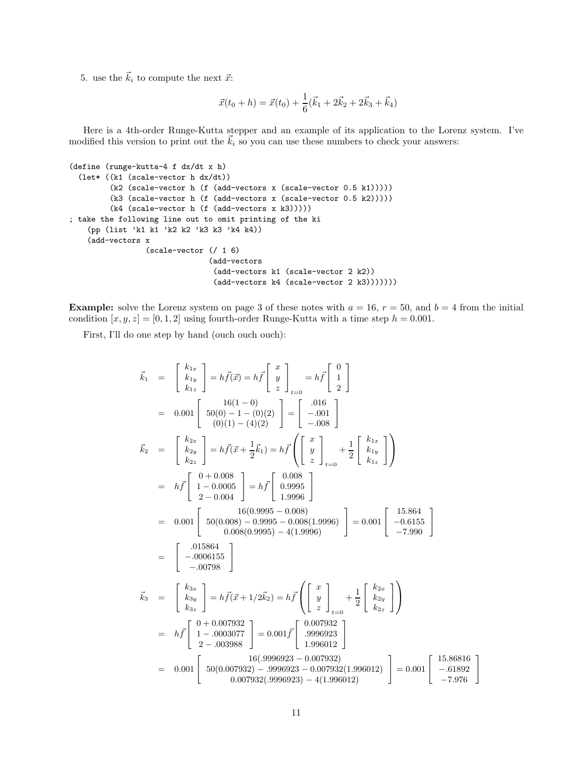5. use the  $\vec{k}_i$  to compute the next  $\vec{x}$ :

$$
\vec{x}(t_0 + h) = \vec{x}(t_0) + \frac{1}{6}(\vec{k}_1 + 2\vec{k}_2 + 2\vec{k}_3 + \vec{k}_4)
$$

Here is a 4th-order Runge-Kutta stepper and an example of its application to the Lorenz system. I've modified this version to print out the  $\vec{k}_i$  so you can use these numbers to check your answers:

```
(define (runge-kutta-4 f dx/dt x h)
 (let* ((k1 (scale-vector h dx/dt))
         (k2 (scale-vector h (f (add-vectors x (scale-vector 0.5 k1)))))
         (k3 (scale-vector h (f (add-vectors x (scale-vector 0.5 k2)))))
         (k4 (scale-vector h (f (add-vectors x k3)))))
; take the following line out to omit printing of the ki
    (pp (list 'k1 k1 'k2 k2 'k3 k3 'k4 k4))
    (add-vectors x
                 (scale-vector (/ 1 6)
                               (add-vectors
                                (add-vectors k1 (scale-vector 2 k2))
                                (add-vectors k4 (scale-vector 2 k3)))))))
```
**Example:** solve the Lorenz system on page 3 of these notes with  $a = 16$ ,  $r = 50$ , and  $b = 4$  from the initial condition  $[x, y, z] = [0, 1, 2]$  using fourth-order Runge-Kutta with a time step  $h = 0.001$ .

First, I'll do one step by hand (ouch ouch ouch):

$$
\vec{k}_{1} = \begin{bmatrix} k_{1x} \\ k_{1y} \\ k_{1z} \end{bmatrix} = h\vec{f}(\vec{x}) = h\vec{f} \begin{bmatrix} x \\ y \\ z \end{bmatrix}_{t=0} = h\vec{f} \begin{bmatrix} 0 \\ 1 \\ 2 \end{bmatrix}
$$
  
\n
$$
= 0.001 \begin{bmatrix} 16(1-0) \\ 50(0) - 1 - (0)(2) \\ (0)(1) - (4)(2) \end{bmatrix} = \begin{bmatrix} .016 \\ -.001 \\ -.008 \end{bmatrix}
$$
  
\n
$$
\vec{k}_{2} = \begin{bmatrix} k_{2x} \\ k_{2y} \\ k_{2z} \end{bmatrix} = h\vec{f}(\vec{x} + \frac{1}{2}\vec{k}_{1}) = h\vec{f} \begin{bmatrix} x \\ y \\ z \end{bmatrix} + \frac{1}{2} \begin{bmatrix} k_{1x} \\ k_{1y} \\ k_{1z} \end{bmatrix}
$$
  
\n
$$
= h\vec{f} \begin{bmatrix} 0+0.008 \\ 1-0.0005 \\ 1-0.0004 \end{bmatrix} = h\vec{f} \begin{bmatrix} 0.008 \\ 0.9995 \\ 1.9996 \end{bmatrix}
$$
  
\n
$$
= 0.001 \begin{bmatrix} 50(0.098) - 0.098 \\ 50(0.008) - 0.995 - 0.008(1.9996) \\ -0.008(0.9995) - 4(1.9996) \end{bmatrix} = 0.001 \begin{bmatrix} 15.864 \\ -0.6155 \\ -0.07996 \end{bmatrix}
$$
  
\n
$$
\vec{k}_{3} = \begin{bmatrix} k_{3x} \\ k_{3y} \\ k_{3z} \end{bmatrix} = h\vec{f}(\vec{x} + 1/2\vec{k}_{2}) = h\vec{f} \begin{bmatrix} x \\ y \\ z \end{bmatrix} + \frac{1}{2} \begin{bmatrix} k_{2x} \\ k_{2y} \\ k_{2z} \end{bmatrix}
$$
  
\n
$$
= h\vec{f} \begin{bmatrix} 0+0.007932 \\ 1-0.003077 \\ 2-0.0398
$$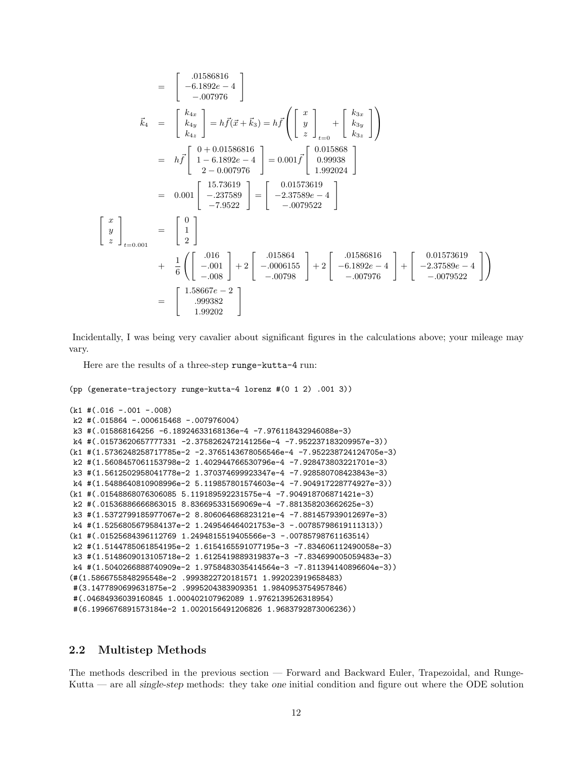$$
= \begin{bmatrix} .01586816 \\ -6.1892e - 4 \\ -.007976 \end{bmatrix}
$$
  
\n
$$
\vec{k}_4 = \begin{bmatrix} k_{4x} \\ k_{4y} \\ k_{4z} \end{bmatrix} = h\vec{f}(\vec{x} + \vec{k}_3) = h\vec{f} \begin{bmatrix} x \\ y \\ z \end{bmatrix} + \begin{bmatrix} k_{3x} \\ k_{3y} \\ k_{3z} \end{bmatrix}
$$
  
\n
$$
= h\vec{f} \begin{bmatrix} 0 + 0.01586816 \\ 1 - 6.1892e - 4 \\ 2 - 0.007976 \end{bmatrix} = 0.001\vec{f} \begin{bmatrix} 0.015868 \\ 0.99938 \\ 1.992024 \end{bmatrix}
$$
  
\n
$$
= 0.001 \begin{bmatrix} 15.73619 \\ -2.37589 \\ -7.9522 \end{bmatrix} = \begin{bmatrix} 0.01573619 \\ -2.37589e - 4 \\ -0.0079522 \end{bmatrix}
$$
  
\n
$$
\begin{bmatrix} x \\ y \\ z \end{bmatrix}_{t=0.001} = \begin{bmatrix} 0 \\ 1 \\ 2 \end{bmatrix}
$$
  
\n
$$
+ \frac{1}{6} \begin{bmatrix} .016 \\ -.001 \\ -0.08 \end{bmatrix} + 2 \begin{bmatrix} .015864 \\ -.0006155 \\ -0.00798 \end{bmatrix} + 2 \begin{bmatrix} .01586816 \\ -6.1892e - 4 \\ -0.07976 \end{bmatrix} + \begin{bmatrix} 0.01573619 \\ -2.37589e - 4 \\ -0.079522 \end{bmatrix}
$$
  
\n
$$
= \begin{bmatrix} 1.58667e - 2 \\ .999382 \\ 1.99202 \end{bmatrix}
$$

Incidentally, I was being very cavalier about significant figures in the calculations above; your mileage may vary.

Here are the results of a three-step runge-kutta-4 run:

```
(pp (generate-trajectory runge-kutta-4 lorenz #(0 1 2) .001 3))
(k1 #(.016 -.001 -.008)
k2 #(.015864 -.000615468 -.007976004)
k3 #(.015868164256 -6.18924633168136e-4 -7.976118432946088e-3)
k4 #(.01573620657777331 -2.3758262472141256e-4 -7.952237183209957e-3))
(k1 #(1.5736248258717785e-2 -2.3765143678056546e-4 -7.952238724124705e-3)
k2 #(1.5608457061153798e-2 1.402944766530796e-4 -7.928473803221701e-3)
k3 #(1.5612502958041778e-2 1.370374699923347e-4 -7.928580708423843e-3)
k4 #(1.5488640810908996e-2 5.119857801574603e-4 -7.904917228774927e-3))
(k1 #(.01548868076306085 5.119189592231575e-4 -7.904918706871421e-3)
k2 #(.01536886666863015 8.836695331569069e-4 -7.881358203662625e-3)
k3 #(1.5372799185977067e-2 8.806064686823121e-4 -7.881457939012697e-3)
k4 #(1.5256805679584137e-2 1.249546464021753e-3 -.00785798619111313))
(k1 #(.01525684396112769 1.2494815519405566e-3 -.00785798761163514)
k2 #(1.5144785061854195e-2 1.6154165591077195e-3 -7.834606112490058e-3)
k3 #(1.5148609013105718e-2 1.6125419889319837e-3 -7.834699005059483e-3)
k4 #(1.5040266888740909e-2 1.9758483035414564e-3 -7.811394140896604e-3))
(#(1.5866755848295548e-2 .9993822720181571 1.992023919658483)
#(3.1477890699631875e-2 .9995204383909351 1.9840953754957846)
#(.04684936039160845 1.000402107962089 1.9762139526318954)
#(6.1996676891573184e-2 1.0020156491206826 1.9683792873006236))
```
### 2.2 Multistep Methods

The methods described in the previous section — Forward and Backward Euler, Trapezoidal, and Runge-Kutta — are all single-step methods: they take one initial condition and figure out where the ODE solution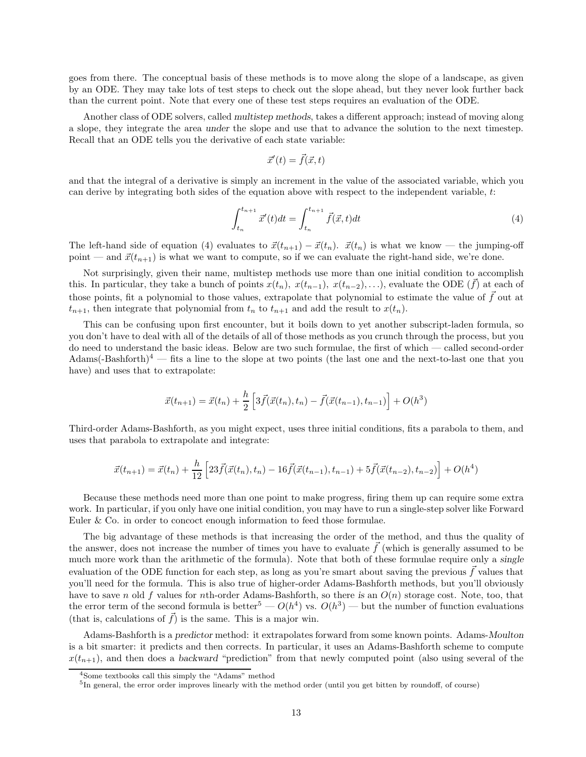goes from there. The conceptual basis of these methods is to move along the slope of a landscape, as given by an ODE. They may take lots of test steps to check out the slope ahead, but they never look further back than the current point. Note that every one of these test steps requires an evaluation of the ODE.

Another class of ODE solvers, called multistep methods, takes a different approach; instead of moving along a slope, they integrate the area under the slope and use that to advance the solution to the next timestep. Recall that an ODE tells you the derivative of each state variable:

$$
\vec{x}'(t) = \vec{f}(\vec{x}, t)
$$

and that the integral of a derivative is simply an increment in the value of the associated variable, which you can derive by integrating both sides of the equation above with respect to the independent variable,  $t$ :

$$
\int_{t_n}^{t_{n+1}} \vec{x}'(t)dt = \int_{t_n}^{t_{n+1}} \vec{f}(\vec{x}, t)dt
$$
\n(4)

The left-hand side of equation (4) evaluates to  $\vec{x}(t_{n+1}) - \vec{x}(t_n)$ .  $\vec{x}(t_n)$  is what we know — the jumping-off point — and  $\vec{x}(t_{n+1})$  is what we want to compute, so if we can evaluate the right-hand side, we're done.

Not surprisingly, given their name, multistep methods use more than one initial condition to accomplish this. In particular, they take a bunch of points  $x(t_n)$ ,  $x(t_{n-1})$ ,  $x(t_{n-2})$ , ...), evaluate the ODE ( $\vec{f}$ ) at each of those points, fit a polynomial to those values, extrapolate that polynomial to estimate the value of  $\tilde{f}$  out at  $t_{n+1}$ , then integrate that polynomial from  $t_n$  to  $t_{n+1}$  and add the result to  $x(t_n)$ .

This can be confusing upon first encounter, but it boils down to yet another subscript-laden formula, so you don't have to deal with all of the details of all of those methods as you crunch through the process, but you do need to understand the basic ideas. Below are two such formulae, the first of which — called second-order Adams(-Bashforth)<sup>4</sup> — fits a line to the slope at two points (the last one and the next-to-last one that you have) and uses that to extrapolate:

$$
\vec{x}(t_{n+1}) = \vec{x}(t_n) + \frac{h}{2} \left[ 3\vec{f}(\vec{x}(t_n), t_n) - \vec{f}(\vec{x}(t_{n-1}), t_{n-1}) \right] + O(h^3)
$$

Third-order Adams-Bashforth, as you might expect, uses three initial conditions, fits a parabola to them, and uses that parabola to extrapolate and integrate:

$$
\vec{x}(t_{n+1}) = \vec{x}(t_n) + \frac{h}{12} \left[ 23\vec{f}(\vec{x}(t_n), t_n) - 16\vec{f}(\vec{x}(t_{n-1}), t_{n-1}) + 5\vec{f}(\vec{x}(t_{n-2}), t_{n-2}) \right] + O(h^4)
$$

Because these methods need more than one point to make progress, firing them up can require some extra work. In particular, if you only have one initial condition, you may have to run a single-step solver like Forward Euler & Co. in order to concoct enough information to feed those formulae.

The big advantage of these methods is that increasing the order of the method, and thus the quality of the answer, does not increase the number of times you have to evaluate  $\tilde{f}$  (which is generally assumed to be much more work than the arithmetic of the formula). Note that both of these formulae require only a single evaluation of the ODE function for each step, as long as you're smart about saving the previous  $\vec{f}$  values that you'll need for the formula. This is also true of higher-order Adams-Bashforth methods, but you'll obviously have to save n old f values for nth-order Adams-Bashforth, so there is an  $O(n)$  storage cost. Note, too, that the error term of the second formula is better<sup>5</sup> —  $O(h^4)$  vs.  $O(h^3)$  — but the number of function evaluations (that is, calculations of  $\vec{f}$ ) is the same. This is a major win.

Adams-Bashforth is a predictor method: it extrapolates forward from some known points. Adams-Moulton is a bit smarter: it predicts and then corrects. In particular, it uses an Adams-Bashforth scheme to compute  $x(t_{n+1})$ , and then does a backward "prediction" from that newly computed point (also using several of the

<sup>4</sup>Some textbooks call this simply the "Adams" method

<sup>&</sup>lt;sup>5</sup>In general, the error order improves linearly with the method order (until you get bitten by roundoff, of course)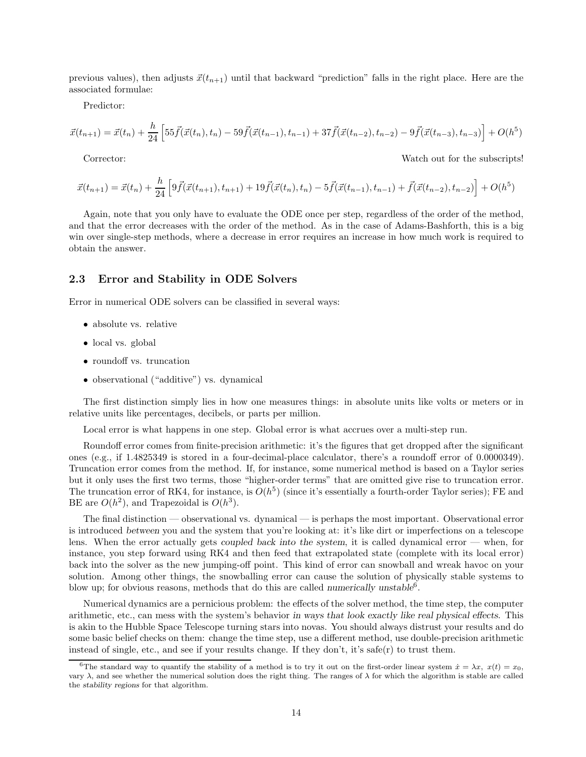previous values), then adjusts  $\vec{x}(t_{n+1})$  until that backward "prediction" falls in the right place. Here are the associated formulae:

Predictor:

$$
\vec{x}(t_{n+1}) = \vec{x}(t_n) + \frac{h}{24} \left[ 55\vec{f}(\vec{x}(t_n), t_n) - 59\vec{f}(\vec{x}(t_{n-1}), t_{n-1}) + 37\vec{f}(\vec{x}(t_{n-2}), t_{n-2}) - 9\vec{f}(\vec{x}(t_{n-3}), t_{n-3}) \right] + O(h^5)
$$

Corrector: Watch out for the subscripts!

$$
\vec{x}(t_{n+1}) = \vec{x}(t_n) + \frac{h}{24} \left[ 9\vec{f}(\vec{x}(t_{n+1}), t_{n+1}) + 19\vec{f}(\vec{x}(t_n), t_n) - 5\vec{f}(\vec{x}(t_{n-1}), t_{n-1}) + \vec{f}(\vec{x}(t_{n-2}), t_{n-2}) \right] + O(h^5)
$$

Again, note that you only have to evaluate the ODE once per step, regardless of the order of the method, and that the error decreases with the order of the method. As in the case of Adams-Bashforth, this is a big win over single-step methods, where a decrease in error requires an increase in how much work is required to obtain the answer.

### 2.3 Error and Stability in ODE Solvers

Error in numerical ODE solvers can be classified in several ways:

- absolute vs. relative
- local vs. global
- roundoff vs. truncation
- observational ("additive") vs. dynamical

The first distinction simply lies in how one measures things: in absolute units like volts or meters or in relative units like percentages, decibels, or parts per million.

Local error is what happens in one step. Global error is what accrues over a multi-step run.

Roundoff error comes from finite-precision arithmetic: it's the figures that get dropped after the significant ones (e.g., if 1.4825349 is stored in a four-decimal-place calculator, there's a roundoff error of 0.0000349). Truncation error comes from the method. If, for instance, some numerical method is based on a Taylor series but it only uses the first two terms, those "higher-order terms" that are omitted give rise to truncation error. The truncation error of RK4, for instance, is  $O(h^5)$  (since it's essentially a fourth-order Taylor series); FE and BE are  $O(h^2)$ , and Trapezoidal is  $O(h^3)$ .

The final distinction — observational vs. dynamical — is perhaps the most important. Observational error is introduced between you and the system that you're looking at: it's like dirt or imperfections on a telescope lens. When the error actually gets coupled back into the system, it is called dynamical error — when, for instance, you step forward using RK4 and then feed that extrapolated state (complete with its local error) back into the solver as the new jumping-off point. This kind of error can snowball and wreak havoc on your solution. Among other things, the snowballing error can cause the solution of physically stable systems to blow up; for obvious reasons, methods that do this are called numerically unstable<sup>6</sup>.

Numerical dynamics are a pernicious problem: the effects of the solver method, the time step, the computer arithmetic, etc., can mess with the system's behavior in ways that look exactly like real physical effects. This is akin to the Hubble Space Telescope turning stars into novas. You should always distrust your results and do some basic belief checks on them: change the time step, use a different method, use double-precision arithmetic instead of single, etc., and see if your results change. If they don't, it's safe(r) to trust them.

<sup>&</sup>lt;sup>6</sup>The standard way to quantify the stability of a method is to try it out on the first-order linear system  $\dot{x} = \lambda x$ ,  $x(t) = x_0$ , vary λ, and see whether the numerical solution does the right thing. The ranges of λ for which the algorithm is stable are called the stability regions for that algorithm.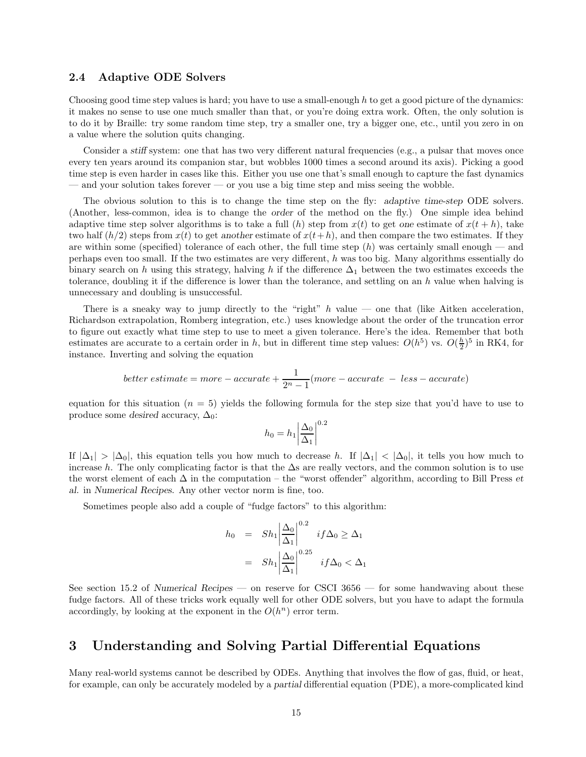#### 2.4 Adaptive ODE Solvers

Choosing good time step values is hard; you have to use a small-enough h to get a good picture of the dynamics: it makes no sense to use one much smaller than that, or you're doing extra work. Often, the only solution is to do it by Braille: try some random time step, try a smaller one, try a bigger one, etc., until you zero in on a value where the solution quits changing.

Consider a stiff system: one that has two very different natural frequencies (e.g., a pulsar that moves once every ten years around its companion star, but wobbles 1000 times a second around its axis). Picking a good time step is even harder in cases like this. Either you use one that's small enough to capture the fast dynamics — and your solution takes forever — or you use a big time step and miss seeing the wobble.

The obvious solution to this is to change the time step on the fly: adaptive time-step ODE solvers. (Another, less-common, idea is to change the order of the method on the fly.) One simple idea behind adaptive time step solver algorithms is to take a full (h) step from  $x(t)$  to get one estimate of  $x(t + h)$ , take two half  $(h/2)$  steps from  $x(t)$  to get another estimate of  $x(t+h)$ , and then compare the two estimates. If they are within some (specified) tolerance of each other, the full time step  $(h)$  was certainly small enough — and perhaps even too small. If the two estimates are very different, h was too big. Many algorithms essentially do binary search on h using this strategy, halving h if the difference  $\Delta_1$  between the two estimates exceeds the tolerance, doubling it if the difference is lower than the tolerance, and settling on an  $h$  value when halving is unnecessary and doubling is unsuccessful.

There is a sneaky way to jump directly to the "right"  $h$  value — one that (like Aitken acceleration, Richardson extrapolation, Romberg integration, etc.) uses knowledge about the order of the truncation error to figure out exactly what time step to use to meet a given tolerance. Here's the idea. Remember that both estimates are accurate to a certain order in h, but in different time step values:  $O(h^5)$  vs.  $O(\frac{h}{2})^5$  in RK4, for instance. Inverting and solving the equation

$$
better\ estimate = more - accurate + \frac{1}{2^n - 1}(more - accurate - less - accurate)
$$

equation for this situation ( $n = 5$ ) yields the following formula for the step size that you'd have to use to produce some desired accuracy,  $\Delta_0$ :

$$
h_0 = h_1 \left| \frac{\Delta_0}{\Delta_1} \right|^{0.2}
$$

If  $|\Delta_1| > |\Delta_0|$ , this equation tells you how much to decrease h. If  $|\Delta_1| < |\Delta_0|$ , it tells you how much to increase h. The only complicating factor is that the  $\Delta s$  are really vectors, and the common solution is to use the worst element of each  $\Delta$  in the computation – the "worst offender" algorithm, according to Bill Press et al. in Numerical Recipes. Any other vector norm is fine, too.

Sometimes people also add a couple of "fudge factors" to this algorithm:

$$
h_0 = Sh_1 \left| \frac{\Delta_0}{\Delta_1} \right|^{0.2} \quad if \Delta_0 \ge \Delta_1
$$

$$
= Sh_1 \left| \frac{\Delta_0}{\Delta_1} \right|^{0.25} \quad if \Delta_0 < \Delta_1
$$

See section 15.2 of Numerical Recipes — on reserve for CSCI 3656 — for some handwaving about these fudge factors. All of these tricks work equally well for other ODE solvers, but you have to adapt the formula accordingly, by looking at the exponent in the  $O(h^n)$  error term.

## 3 Understanding and Solving Partial Differential Equations

Many real-world systems cannot be described by ODEs. Anything that involves the flow of gas, fluid, or heat, for example, can only be accurately modeled by a partial differential equation (PDE), a more-complicated kind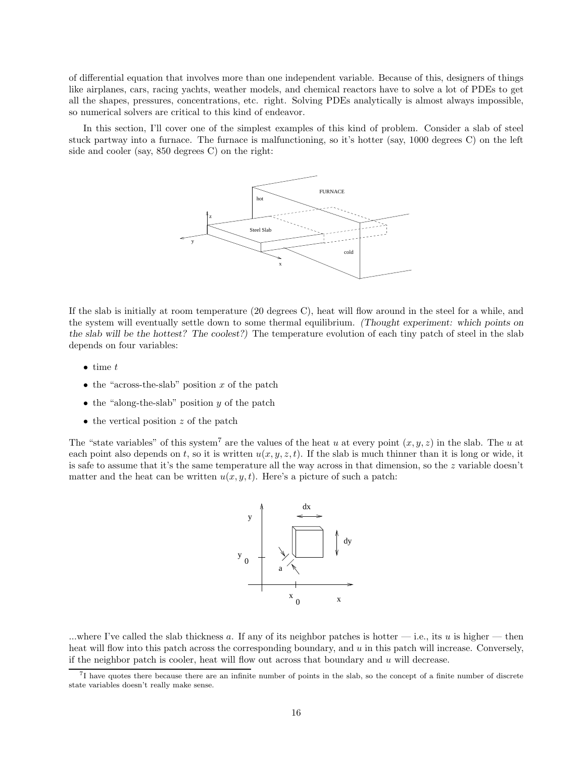of differential equation that involves more than one independent variable. Because of this, designers of things like airplanes, cars, racing yachts, weather models, and chemical reactors have to solve a lot of PDEs to get all the shapes, pressures, concentrations, etc. right. Solving PDEs analytically is almost always impossible, so numerical solvers are critical to this kind of endeavor.

In this section, I'll cover one of the simplest examples of this kind of problem. Consider a slab of steel stuck partway into a furnace. The furnace is malfunctioning, so it's hotter (say, 1000 degrees C) on the left side and cooler (say, 850 degrees C) on the right:



If the slab is initially at room temperature (20 degrees C), heat will flow around in the steel for a while, and the system will eventually settle down to some thermal equilibrium. (Thought experiment: which points on the slab will be the hottest? The coolest?) The temperature evolution of each tiny patch of steel in the slab depends on four variables:

- $\bullet$  time  $t$
- the "across-the-slab" position  $x$  of the patch
- the "along-the-slab" position  $y$  of the patch
- the vertical position z of the patch

The "state variables" of this system<sup>7</sup> are the values of the heat u at every point  $(x, y, z)$  in the slab. The u at each point also depends on t, so it is written  $u(x, y, z, t)$ . If the slab is much thinner than it is long or wide, it is safe to assume that it's the same temperature all the way across in that dimension, so the z variable doesn't matter and the heat can be written  $u(x, y, t)$ . Here's a picture of such a patch:



...where I've called the slab thickness a. If any of its neighbor patches is hotter  $-$  i.e., its u is higher  $-$  then heat will flow into this patch across the corresponding boundary, and  $u$  in this patch will increase. Conversely, if the neighbor patch is cooler, heat will flow out across that boundary and  $u$  will decrease.

<sup>&</sup>lt;sup>7</sup>I have quotes there because there are an infinite number of points in the slab, so the concept of a finite number of discrete state variables doesn't really make sense.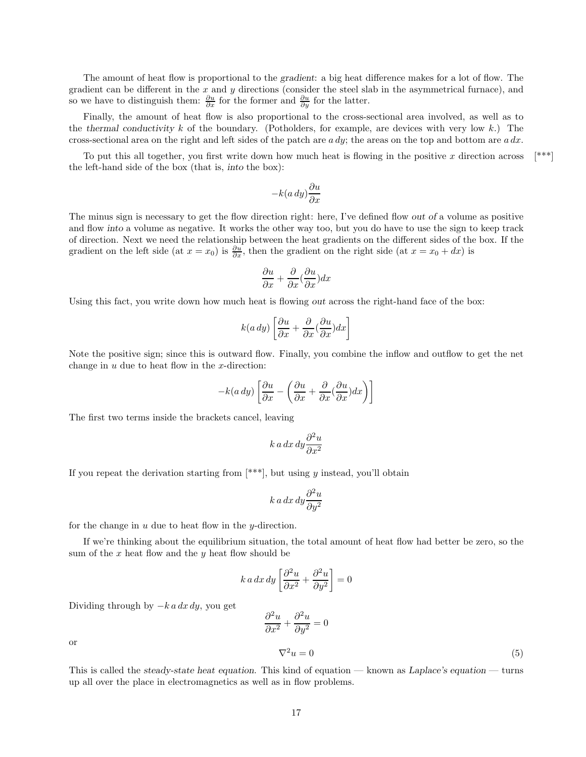The amount of heat flow is proportional to the gradient: a big heat difference makes for a lot of flow. The gradient can be different in the  $x$  and  $y$  directions (consider the steel slab in the asymmetrical furnace), and so we have to distinguish them:  $\frac{\partial u}{\partial x}$  for the former and  $\frac{\partial u}{\partial y}$  for the latter.

Finally, the amount of heat flow is also proportional to the cross-sectional area involved, as well as to the thermal conductivity k of the boundary. (Potholders, for example, are devices with very low k.) The cross-sectional area on the right and left sides of the patch are  $a dy$ ; the areas on the top and bottom are  $a dx$ .

To put this all together, you first write down how much heat is flowing in the positive x direction across  $[***]$ the left-hand side of the box (that is, into the box):

$$
-k(a\,dy)\frac{\partial u}{\partial x}
$$

The minus sign is necessary to get the flow direction right: here, I've defined flow out of a volume as positive and flow into a volume as negative. It works the other way too, but you do have to use the sign to keep track of direction. Next we need the relationship between the heat gradients on the different sides of the box. If the gradient on the left side (at  $x = x_0$ ) is  $\frac{\partial u}{\partial x}$ , then the gradient on the right side (at  $x = x_0 + dx$ ) is

$$
\frac{\partial u}{\partial x} + \frac{\partial}{\partial x}(\frac{\partial u}{\partial x})dx
$$

Using this fact, you write down how much heat is flowing out across the right-hand face of the box:

$$
k(a\,dy)\left[\frac{\partial u}{\partial x} + \frac{\partial}{\partial x}(\frac{\partial u}{\partial x})dx\right]
$$

Note the positive sign; since this is outward flow. Finally, you combine the inflow and outflow to get the net change in  $u$  due to heat flow in the  $x$ -direction:

$$
-k(a\,dy)\left[\frac{\partial u}{\partial x} - \left(\frac{\partial u}{\partial x} + \frac{\partial}{\partial x}(\frac{\partial u}{\partial x})dx\right)\right]
$$

The first two terms inside the brackets cancel, leaving

$$
k\,a\,dx\,dy\frac{\partial^2 u}{\partial x^2}
$$

If you repeat the derivation starting from  $[***]$ , but using y instead, you'll obtain

$$
k\,a\,dx\,dy\frac{\partial^2 u}{\partial y^2}
$$

for the change in  $u$  due to heat flow in the  $y$ -direction.

If we're thinking about the equilibrium situation, the total amount of heat flow had better be zero, so the sum of the  $x$  heat flow and the  $y$  heat flow should be

$$
k \, a \, dx \, dy \left[ \frac{\partial^2 u}{\partial x^2} + \frac{\partial^2 u}{\partial y^2} \right] = 0
$$

Dividing through by  $-k a dx dy$ , you get

$$
\frac{\partial^2 u}{\partial x^2} + \frac{\partial^2 u}{\partial y^2} = 0
$$
  

$$
\nabla^2 u = 0
$$
 (5)

or

This is called the steady-state heat equation. This kind of equation — known as Laplace's equation — turns up all over the place in electromagnetics as well as in flow problems.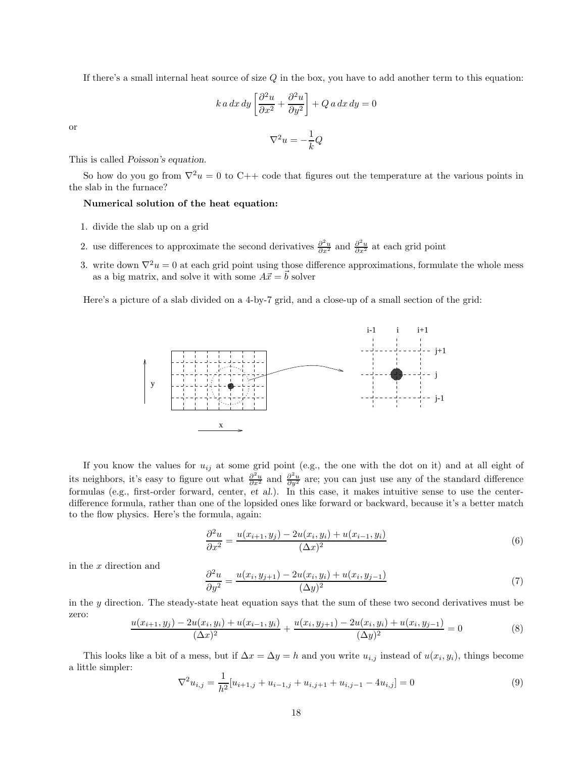If there's a small internal heat source of size  $Q$  in the box, you have to add another term to this equation:

$$
k \, a \, dx \, dy \left[ \frac{\partial^2 u}{\partial x^2} + \frac{\partial^2 u}{\partial y^2} \right] + Q \, a \, dx \, dy = 0
$$

or

$$
\nabla^2 u = -\frac{1}{k} Q
$$

This is called Poisson's equation.

So how do you go from  $\nabla^2 u = 0$  to C++ code that figures out the temperature at the various points in the slab in the furnace?

#### Numerical solution of the heat equation:

- 1. divide the slab up on a grid
- 2. use differences to approximate the second derivatives  $\frac{\partial^2 u}{\partial x^2}$  and  $\frac{\partial^2 u}{\partial x^2}$  at each grid point
- 3. write down  $\nabla^2 u = 0$  at each grid point using those difference approximations, formulate the whole mess as a big matrix, and solve it with some  $A\vec{x} = \vec{b}$  solver

Here's a picture of a slab divided on a 4-by-7 grid, and a close-up of a small section of the grid:



If you know the values for  $u_{ij}$  at some grid point (e.g., the one with the dot on it) and at all eight of its neighbors, it's easy to figure out what  $\frac{\partial^2 u}{\partial x^2}$  and  $\frac{\partial^2 u}{\partial y^2}$  are; you can just use any of the standard difference formulas (e.g., first-order forward, center, et al.). In this case, it makes intuitive sense to use the centerdifference formula, rather than one of the lopsided ones like forward or backward, because it's a better match to the flow physics. Here's the formula, again:

$$
\frac{\partial^2 u}{\partial x^2} = \frac{u(x_{i+1}, y_j) - 2u(x_i, y_i) + u(x_{i-1}, y_i)}{(\Delta x)^2}
$$
(6)

in the x direction and

$$
\frac{\partial^2 u}{\partial y^2} = \frac{u(x_i, y_{j+1}) - 2u(x_i, y_i) + u(x_i, y_{j-1})}{(\Delta y)^2}
$$
(7)

in the y direction. The steady-state heat equation says that the sum of these two second derivatives must be zero:

$$
\frac{u(x_{i+1}, y_j) - 2u(x_i, y_i) + u(x_{i-1}, y_i)}{(\Delta x)^2} + \frac{u(x_i, y_{j+1}) - 2u(x_i, y_i) + u(x_i, y_{j-1})}{(\Delta y)^2} = 0
$$
\n(8)

This looks like a bit of a mess, but if  $\Delta x = \Delta y = h$  and you write  $u_{i,j}$  instead of  $u(x_i, y_i)$ , things become a little simpler:

$$
\nabla^2 u_{i,j} = \frac{1}{h^2} [u_{i+1,j} + u_{i-1,j} + u_{i,j+1} + u_{i,j-1} - 4u_{i,j}] = 0
$$
\n(9)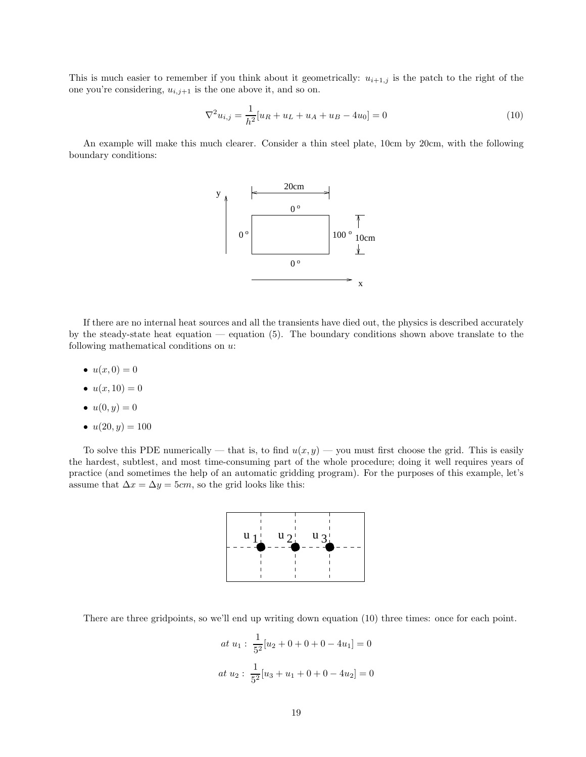This is much easier to remember if you think about it geometrically:  $u_{i+1,j}$  is the patch to the right of the one you're considering,  $u_{i,j+1}$  is the one above it, and so on.

$$
\nabla^2 u_{i,j} = \frac{1}{h^2} [u_R + u_L + u_A + u_B - 4u_0] = 0
$$
\n(10)

An example will make this much clearer. Consider a thin steel plate, 10cm by 20cm, with the following boundary conditions:



If there are no internal heat sources and all the transients have died out, the physics is described accurately by the steady-state heat equation — equation (5). The boundary conditions shown above translate to the following mathematical conditions on u:

- $u(x, 0) = 0$
- $u(x, 10) = 0$
- $u(0, y) = 0$
- $u(20, y) = 100$

To solve this PDE numerically — that is, to find  $u(x, y)$  — you must first choose the grid. This is easily the hardest, subtlest, and most time-consuming part of the whole procedure; doing it well requires years of practice (and sometimes the help of an automatic gridding program). For the purposes of this example, let's assume that  $\Delta x = \Delta y = 5cm$ , so the grid looks like this:



There are three gridpoints, so we'll end up writing down equation (10) three times: once for each point.

$$
at u_1: \frac{1}{5^2}[u_2 + 0 + 0 + 0 - 4u_1] = 0
$$
  

$$
at u_2: \frac{1}{5^2}[u_3 + u_1 + 0 + 0 - 4u_2] = 0
$$